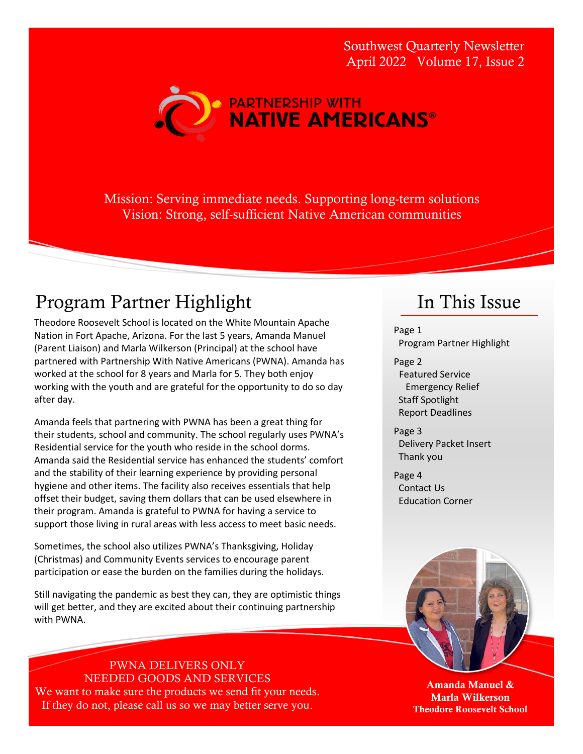Southwest Quarterly Newsletter April 2022 Volume 17, Issue 2



Mission: Serving immediate needs. Supporting long-term solutions Vision: Strong, self-sufficient Native American communities

### Program Partner Highlight

Theodore Roosevelt School is located on the White Mountain Apache Nation in Fort Apache, Arizona. For the last 5 years, Amanda Manuel (Parent Liaison) and Marla Wilkerson (Principal) at the school have partnered with Partnership With Native Americans (PWNA). Amanda has worked at the school for 8 years and Marla for 5. They both enjoy working with the youth and are grateful for the opportunity to do so day after day.

Amanda feels that partnering with PWNA has been a great thing for their students, school and community. The school regularly uses PWNA's Residential service for the youth who reside in the school dorms. Amanda said the Residential service has enhanced the students' comfort and the stability of their learning experience by providing personal hygiene and other items. The facility also receives essentials that help offset their budget, saving them dollars that can be used elsewhere in their program. Amanda is grateful to PWNA for having a service to support those living in rural areas with less access to meet basic needs.

Sometimes, the school also utilizes PWNA's Thanksgiving, Holiday (Christmas) and Community Events services to encourage parent participation or ease the burden on the families during the holidays.

Still navigating the pandemic as best they can, they are optimistic things will get better, and they are excited about their continuing partnership with PWNA.

PWNA DELIVERS ONLY NEEDED GOODS AND SERVICES We want to make sure the products we send fit your needs. If they do not, please call us so we may better serve you.

### In This Issue

Page 1 Program Partner Highlight

Page 2 Featured Service Emergency Relief Staff Spotlight Report Deadlines

Page 3 Delivery Packet Insert Thank you

Page 4 Contact Us Education Corner



Amanda Manuel & Marla Wilkerson Theodore Roosevelt School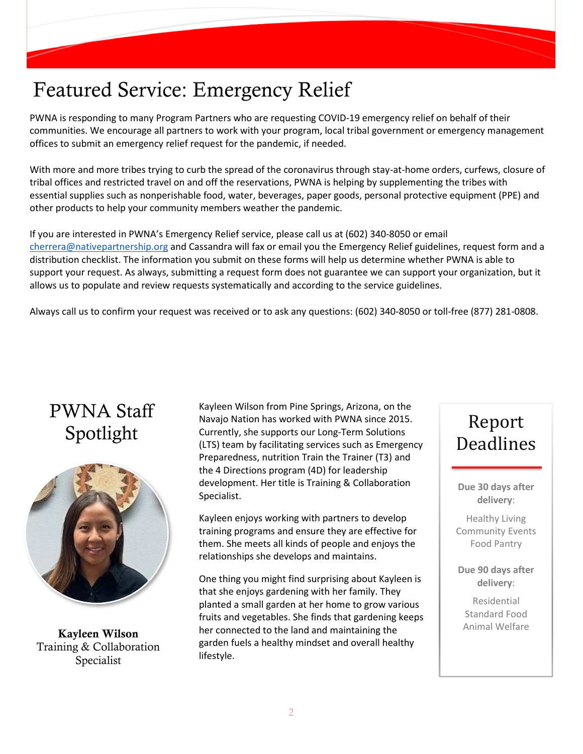# Featured Service: Emergency Relief

PWNA is responding to many Program Partners who are requesting COVID-19 emergency relief on behalf of their communities. We encourage all partners to work with your program, local tribal government or emergency management offices to submit an emergency relief request for the pandemic, if needed.

With more and more tribes trying to curb the spread of the coronavirus through stay-at-home orders, curfews, closure of tribal offices and restricted travel on and off the reservations, PWNA is helping by supplementing the tribes with essential supplies such as nonperishable food, water, beverages, paper goods, personal protective equipment (PPE) and other products to help your community members weather the pandemic.

If you are interested in PWNA's Emergency Relief service, please call us at (602) 340-8050 or email [cherrera@nativepartnership.org](mailto:cherrera@nativepartnership.org) and Cassandra will fax or email you the Emergency Relief guidelines, request form and a distribution checklist. The information you submit on these forms will help us determine whether PWNA is able to support your request. As always, submitting a request form does not guarantee we can support your organization, but it allows us to populate and review requests systematically and according to the service guidelines.

Always call us to confirm your request was received or to ask any questions: (602) 340-8050 or toll-free (877) 281-0808.

# PWNA Staff Spotlight



Kayleen Wilson Training & Collaboration Specialist

Kayleen Wilson from Pine Springs, Arizona, on the Navajo Nation has worked with PWNA since 2015. Currently, she supports our Long-Term Solutions (LTS) team by facilitating services such as Emergency Preparedness, nutrition Train the Trainer (T3) and the 4 Directions program (4D) for leadership development. Her title is Training & Collaboration Specialist.

Kayleen enjoys working with partners to develop training programs and ensure they are effective for them. She meets all kinds of people and enjoys the relationships she develops and maintains.

One thing you might find surprising about Kayleen is that she enjoys gardening with her family. They planted a small garden at her home to grow various fruits and vegetables. She finds that gardening keeps her connected to the land and maintaining the garden fuels a healthy mindset and overall healthy lifestyle.

# Report Deadlines

**Due 30 days after delivery**:

Healthy Living Community Events Food Pantry

**Due 90 days after delivery**:

Residential Standard Food Animal Welfare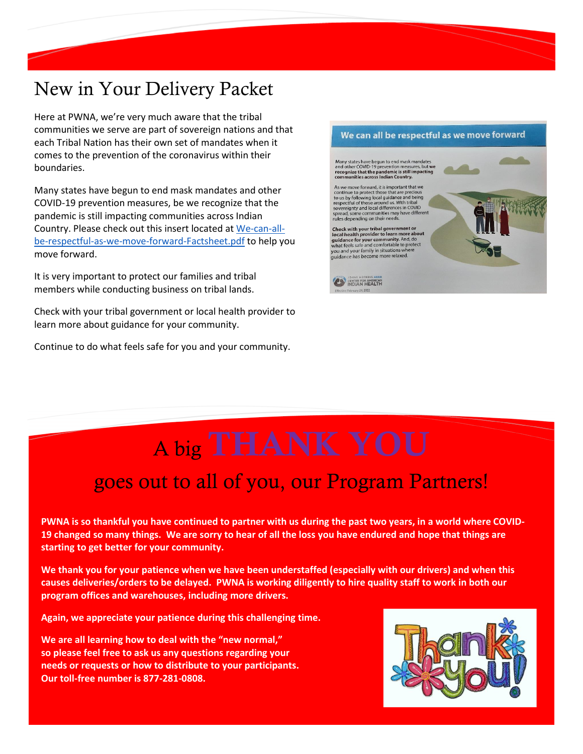# New in Your Delivery Packet

Here at PWNA, we're very much aware that the tribal communities we serve are part of sovereign nations and that each Tribal Nation has their own set of mandates when it comes to the prevention of the coronavirus within their boundaries.

Many states have begun to end mask mandates and other COVID-19 prevention measures, be we recognize that the pandemic is still impacting communities across Indian Country. Please check out this insert located at [We-can-all](https://nyc3.digitaloceanspaces.com/caih-rl-media/2022/03/We-can-all-be-respectful-as-we-move-forward-Factsheet.pdf)[be-respectful-as-we-move-forward-Factsheet.pdf](https://nyc3.digitaloceanspaces.com/caih-rl-media/2022/03/We-can-all-be-respectful-as-we-move-forward-Factsheet.pdf) to help you move forward.

It is very important to protect our families and tribal members while conducting business on tribal lands.

Check with your tribal government or local health provider to learn more about guidance for your community.

Continue to do what feels safe for you and your community.



# A big THANK YOU

# goes out to all of you, our Program Partners!

**PWNA is so thankful you have continued to partner with us during the past two years, in a world where COVID-19 changed so many things. We are sorry to hear of all the loss you have endured and hope that things are starting to get better for your community.** 

**We thank you for your patience when we have been understaffed (especially with our drivers) and when this causes deliveries/orders to be delayed. PWNA is working diligently to hire quality staff to work in both our program offices and warehouses, including more drivers.** 

**Again, we appreciate your patience during this challenging time.**

**We are all learning how to deal with the "new normal," so please feel free to ask us any questions regarding your needs or requests or how to distribute to your participants. Our toll-free number is 877-281-0808.**